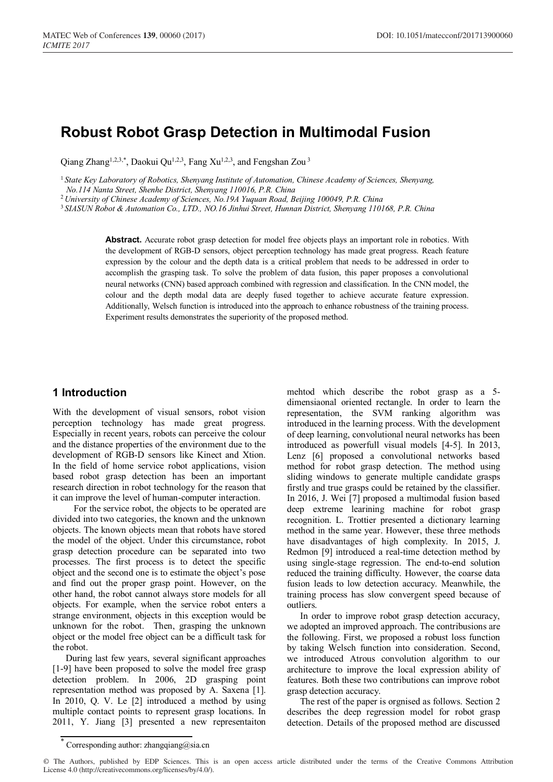# **Robust Robot Grasp Detection in Multimodal Fusion**

Qiang Zhang<sup>1,2,3,\*</sup>, Daokui Qu<sup>1,2,3</sup>, Fang Xu<sup>1,2,3</sup>, and Fengshan Zou<sup>3</sup>

<sup>1</sup> *State Key Laboratory of Robotics, Shenyang Institute of Automation, Chinese Academy of Sciences, Shenyang,* 

*No.114 Nanta Street, Shenhe District, Shenyang 110016, P.R. China*

<sup>2</sup> *University of Chinese Academy of Sciences, No.19A Yuquan Road, Beijing 100049, P.R. China*

<sup>3</sup>*SIASUN Robot & Automation Co., LTD., NO.16 Jinhui Street, Hunnan District, Shenyang 110168, P.R. China*

Abstract. Accurate robot grasp detection for model free objects plays an important role in robotics. With the development of RGB-D sensors, object perception technology has made great progress. Reach feature expression by the colour and the depth data is a critical problem that needs to be addressed in order to accomplish the grasping task. To solve the problem of data fusion, this paper proposes a convolutional neural networks (CNN) based approach combined with regression and classification. In the CNN model, the colour and the depth modal data are deeply fused together to achieve accurate feature expression. Additionally, Welsch function is introduced into the approach to enhance robustness of the training process. Experiment results demonstrates the superiority of the proposed method.

# **1 Introduction**

With the development of visual sensors, robot vision perception technology has made great progress. Especially in recent years, robots can perceive the colour and the distance properties of the environment due to the development of RGB-D sensors like Kinect and Xtion. In the field of home service robot applications, vision based robot grasp detection has been an important research direction in robot technology for the reason that it can improve the level of human-computer interaction.

For the service robot, the objects to be operated are divided into two categories, the known and the unknown objects. The known objects mean that robots have stored the model of the object. Under this circumstance, robot grasp detection procedure can be separated into two processes. The first process is to detect the specific object and the second one is to estimate the object's pose and find out the proper grasp point. However, on the other hand, the robot cannot always store models for all objects. For example, when the service robot enters a strange environment, objects in this exception would be unknown for the robot. Then, grasping the unknown object or the model free object can be a difficult task for the robot.

During last few years, several significant approaches [1-9] have been proposed to solve the model free grasp detection problem. In 2006, 2D grasping point representation method was proposed by A. Saxena [1]. In 2010, Q. V. Le [2] introduced a method by using multiple contact points to represent grasp locations. In 2011, Y. Jiang [3] presented a new representaiton

mehtod which describe the robot grasp as a 5 dimensiaonal oriented rectangle. In order to learn the representation, the SVM ranking algorithm was introduced in the learning process. With the development of deep learning, convolutional neural networks has been introduced as powerfull visual models [4-5]. In 2013, Lenz [6] proposed a convolutional networks based method for robot grasp detection. The method using sliding windows to generate multiple candidate grasps firstly and true grasps could be retained by the classifier. In 2016, J. Wei [7] proposed a multimodal fusion based deep extreme learining machine for robot grasp recognition. L. Trottier presented a dictionary learning method in the same year. However, these three methods have disadvantages of high complexity. In 2015, J. Redmon [9] introduced a real-time detection method by using single-stage regression. The end-to-end solution reduced the training difficulty. However, the coarse data fusion leads to low detection accuracy. Meanwhile, the training process has slow convergent speed because of outliers.

In order to improve robot grasp detection accuracy, we adopted an improved approach. The contribusions are the following. First, we proposed a robust loss function by taking Welsch function into consideration. Second, we introduced Atrous convolution algorithm to our architecture to improve the local expression ability of features. Both these two contributions can improve robot grasp detection accuracy.

The rest of the paper is orgnised as follows. Section 2 describes the deep regression model for robot grasp detection. Details of the proposed method are discussed

<sup>\*</sup> Corresponding author: zhangqiang@sia.cn

<sup>©</sup> The Authors, published by EDP Sciences. This is an open access article distributed under the terms of the Creative Commons Attribution License 4.0 (http://creativecommons.org/licenses/by/4.0/).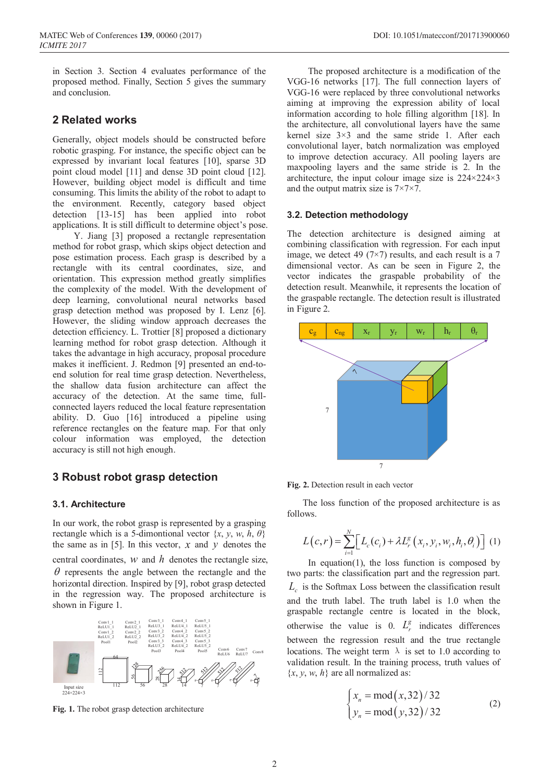in Section 3. Section 4 evaluates performance of the proposed method. Finally, Section 5 gives the summary and conclusion.

# **2 Related works**

Generally, object models should be constructed before robotic grasping. For instance, the specific object can be expressed by invariant local features [10], sparse 3D point cloud model [11] and dense 3D point cloud [12]. However, building object model is difficult and time consuming. This limits the ability of the robot to adapt to the environment. Recently, category based object detection [13-15] has been applied into robot applications. It is still difficult to determine object's pose.

Y. Jiang [3] proposed a rectangle representation method for robot grasp, which skips object detection and pose estimation process. Each grasp is described by a rectangle with its central coordinates, size, and orientation. This expression method greatly simplifies the complexity of the model. With the development of deep learning, convolutional neural networks based grasp detection method was proposed by I. Lenz [6]. However, the sliding window approach decreases the detection efficiency. L. Trottier [8] proposed a dictionary learning method for robot grasp detection. Although it takes the advantage in high accuracy, proposal procedure makes it inefficient. J. Redmon [9] presented an end-toend solution for real time grasp detection. Nevertheless, the shallow data fusion architecture can affect the accuracy of the detection. At the same time, fullconnected layers reduced the local feature representation ability. D. Guo [16] introduced a pipeline using reference rectangles on the feature map. For that only colour information was employed, the detection accuracy is still not high enough.

# **3 Robust robot grasp detection**

### **3.1. Architecture**

In our work, the robot grasp is represented by a grasping rectangle which is a 5-dimontional vector  $\{x, y, w, h, \theta\}$ the same as in [5]. In this vector,  $x$  and  $y$  denotes the central coordinates, *w* and *h* denotes the rectangle size,  $\theta$  represents the angle between the rectangle and the horizontal direction. Inspired by [9], robot grasp detected in the regression way. The proposed architecture is shown in Figure 1.



**Fig. 1.** The robot grasp detection architecture

The proposed architecture is a modification of the VGG-16 networks [17]. The full connection layers of VGG-16 were replaced by three convolutional networks aiming at improving the expression ability of local information according to hole filling algorithm [18]. In the architecture, all convolutional layers have the same kernel size 3×3 and the same stride 1. After each convolutional layer, batch normalization was employed to improve detection accuracy. All pooling layers are maxpooling layers and the same stride is 2. In the architecture, the input colour image size is 224×224×3 and the output matrix size is 7×7×7.

### **3.2. Detection methodology**

The detection architecture is designed aiming at combining classification with regression. For each input image, we detect 49 (7 $\times$ 7) results, and each result is a 7 dimensional vector. As can be seen in Figure 2, the vector indicates the graspable probability of the detection result. Meanwhile, it represents the location of the graspable rectangle. The detection result is illustrated in Figure 2.





The loss function of the proposed architecture is as follows.

$$
L(c,r) = \sum_{i=1}^{N} \Big[ L_c(c_i) + \lambda L_r^g(x_i, y_i, w_i, h_i, \theta_i) \Big] (1)
$$

In equation(1), the loss function is composed by two parts: the classification part and the regression part.  $L<sub>c</sub>$  is the Softmax Loss between the classification result and the truth label. The truth label is 1.0 when the graspable rectangle centre is located in the block, otherwise the value is 0.  $L_r^g$  indicates differences between the regression result and the true rectangle locations. The weight term  $\lambda$  is set to 1.0 according to validation result. In the training process, truth values of  ${x, y, w, h}$  are all normalized as:

$$
\begin{cases} x_n = \text{mod}(x, 32) / 32 \\ y_n = \text{mod}(y, 32) / 32 \end{cases}
$$
 (2)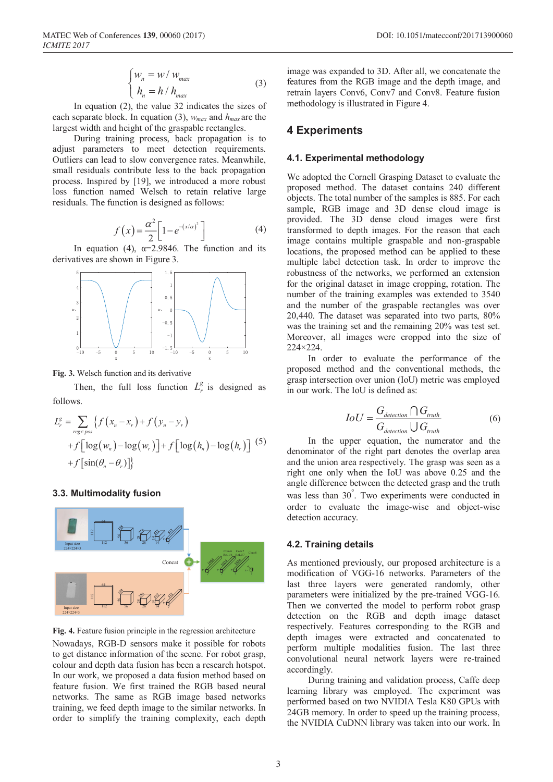In equation (2), the value 32 indicates the sizes of each separate block. In equation (3), *wmax* and *hmax* are the largest width and height of the graspable rectangles.

During training process, back propagation is to adjust parameters to meet detection requirements. Outliers can lead to slow convergence rates. Meanwhile, small residuals contribute less to the back propagation process. Inspired by [19], we introduced a more robust loss function named Welsch to retain relative large residuals. The function is designed as follows:

$$
f(x) = \frac{\alpha^2}{2} \left[ 1 - e^{-(x/\alpha)^2} \right] \tag{4}
$$

In equation (4),  $\alpha = 2.9846$ . The function and its derivatives are shown in Figure 3.



**Fig. 3.** Welsch function and its derivative

Then, the full loss function  $L_r^g$  is designed as follows.

$$
L_r^g = \sum_{reg=pos} \left\{ f(x_n - x_r) + f(y_n - y_r) + f\left[ \log(w_n) - \log(w_r) \right] + f\left[ \log(h_n) - \log(h_r) \right] \right\}
$$
  
+  $f\left[ \sin(\theta_n - \theta_r) \right] \right\}$  (5)  
+  $f\left[ \sin(\theta_n - \theta_r) \right]$ 

### **3.3. Multimodality fusion**



**Fig. 4.** Feature fusion principle in the regression architecture

Nowadays, RGB-D sensors make it possible for robots to get distance information of the scene. For robot grasp, colour and depth data fusion has been a research hotspot. In our work, we proposed a data fusion method based on feature fusion. We first trained the RGB based neural networks. The same as RGB image based networks training, we feed depth image to the similar networks. In order to simplify the training complexity, each depth

image was expanded to 3D. After all, we concatenate the features from the RGB image and the depth image, and retrain layers Conv6, Conv7 and Conv8. Feature fusion methodology is illustrated in Figure 4.

### **4 Experiments**

#### **4.1. Experimental methodology**

We adopted the Cornell Grasping Dataset to evaluate the proposed method. The dataset contains 240 different objects. The total number of the samples is 885. For each sample, RGB image and 3D dense cloud image is provided. The 3D dense cloud images were first transformed to depth images. For the reason that each image contains multiple graspable and non-graspable locations, the proposed method can be applied to these multiple label detection task. In order to improve the robustness of the networks, we performed an extension for the original dataset in image cropping, rotation. The number of the training examples was extended to 3540 and the number of the graspable rectangles was over 20,440. The dataset was separated into two parts, 80% was the training set and the remaining 20% was test set. Moreover, all images were cropped into the size of 224×224.

In order to evaluate the performance of the proposed method and the conventional methods, the grasp intersection over union (IoU) metric was employed in our work. The IoU is defined as:

$$
IoU = \frac{G_{detection} \cap G_{truth}}{G_{detection} \cup G_{truth}}
$$
(6)

In the upper equation, the numerator and the denominator of the right part denotes the overlap area and the union area respectively. The grasp was seen as a right one only when the IoU was above 0.25 and the angle difference between the detected grasp and the truth was less than 30° . Two experiments were conducted in order to evaluate the image-wise and object-wise detection accuracy.

#### **4.2. Training details**

As mentioned previously, our proposed architecture is a modification of VGG-16 networks. Parameters of the last three layers were generated randomly, other parameters were initialized by the pre-trained VGG-16. Then we converted the model to perform robot grasp detection on the RGB and depth image dataset respectively. Features corresponding to the RGB and depth images were extracted and concatenated to perform multiple modalities fusion. The last three convolutional neural network layers were re-trained accordingly.

During training and validation process, Caffe deep learning library was employed. The experiment was performed based on two NVIDIA Tesla K80 GPUs with 24GB memory. In order to speed up the training process, the NVIDIA CuDNN library was taken into our work. In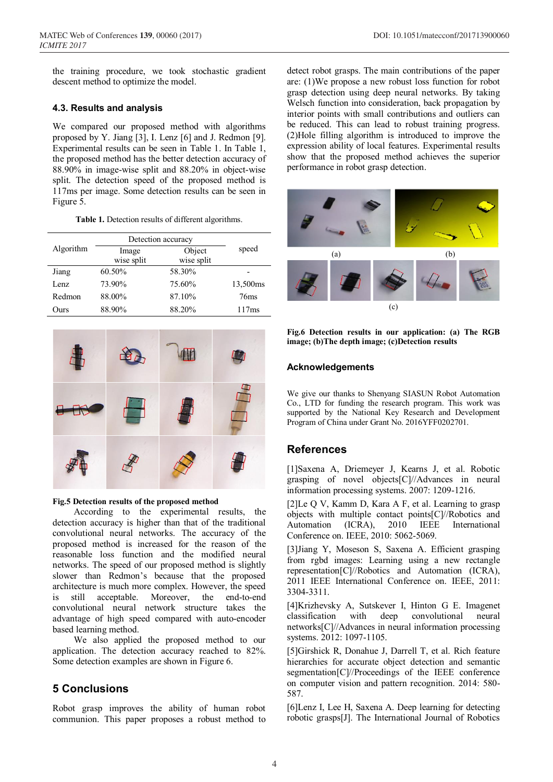the training procedure, we took stochastic gradient descent method to optimize the model.

### **4.3. Results and analysis**

We compared our proposed method with algorithms proposed by Y. Jiang [3], I. Lenz [6] and J. Redmon [9]. Experimental results can be seen in Table 1. In Table 1, the proposed method has the better detection accuracy of 88.90% in image-wise split and 88.20% in object-wise split. The detection speed of the proposed method is 117ms per image. Some detection results can be seen in Figure 5.

|  |  |  |  | Table 1. Detection results of different algorithms. |
|--|--|--|--|-----------------------------------------------------|
|--|--|--|--|-----------------------------------------------------|

|           | Detection accuracy  |                      |                  |
|-----------|---------------------|----------------------|------------------|
| Algorithm | Image<br>wise split | Object<br>wise split | speed            |
| Jiang     | 60.50%              | 58.30%               |                  |
| Lenz      | 73.90%              | 75.60%               | 13,500ms         |
| Redmon    | 88.00%              | 87.10%               | 76 <sub>ms</sub> |
| Ours      | 88.90%              | 88.20%               | 117ms            |



#### **Fig.5 Detection results of the proposed method**

According to the experimental results, the detection accuracy is higher than that of the traditional convolutional neural networks. The accuracy of the proposed method is increased for the reason of the reasonable loss function and the modified neural networks. The speed of our proposed method is slightly slower than Redmon's because that the proposed architecture is much more complex. However, the speed is still acceptable. Moreover, the end-to-end convolutional neural network structure takes the advantage of high speed compared with auto-encoder based learning method.

We also applied the proposed method to our application. The detection accuracy reached to 82%. Some detection examples are shown in Figure 6.

# **5 Conclusions**

Robot grasp improves the ability of human robot communion. This paper proposes a robust method to

detect robot grasps. The main contributions of the paper are: (1)We propose a new robust loss function for robot grasp detection using deep neural networks. By taking Welsch function into consideration, back propagation by interior points with small contributions and outliers can be reduced. This can lead to robust training progress. (2)Hole filling algorithm is introduced to improve the expression ability of local features. Experimental results show that the proposed method achieves the superior performance in robot grasp detection.



**Fig.6 Detection results in our application: (a) The RGB image; (b)The depth image; (c)Detection results**

## **Acknowledgements**

We give our thanks to Shenyang SIASUN Robot Automation Co., LTD for funding the research program. This work was supported by the National Key Research and Development Program of China under Grant No. 2016YFF0202701.

# **References**

[1]Saxena A, Driemeyer J, Kearns J, et al. Robotic grasping of novel objects[C]//Advances in neural information processing systems. 2007: 1209-1216.

[2]Le Q V, Kamm D, Kara A F, et al. Learning to grasp objects with multiple contact points[C]//Robotics and Automation (ICRA), 2010 IEEE International Conference on. IEEE, 2010: 5062-5069.

[3]Jiang Y, Moseson S, Saxena A. Efficient grasping from rgbd images: Learning using a new rectangle representation[C]//Robotics and Automation (ICRA), 2011 IEEE International Conference on. IEEE, 2011: 3304-3311.

[4]Krizhevsky A, Sutskever I, Hinton G E. Imagenet classification with deep convolutional neural networks[C]//Advances in neural information processing systems. 2012: 1097-1105.

[5]Girshick R, Donahue J, Darrell T, et al. Rich feature hierarchies for accurate object detection and semantic segmentation[C]//Proceedings of the IEEE conference on computer vision and pattern recognition. 2014: 580- 587.

[6]Lenz I, Lee H, Saxena A. Deep learning for detecting robotic grasps[J]. The International Journal of Robotics